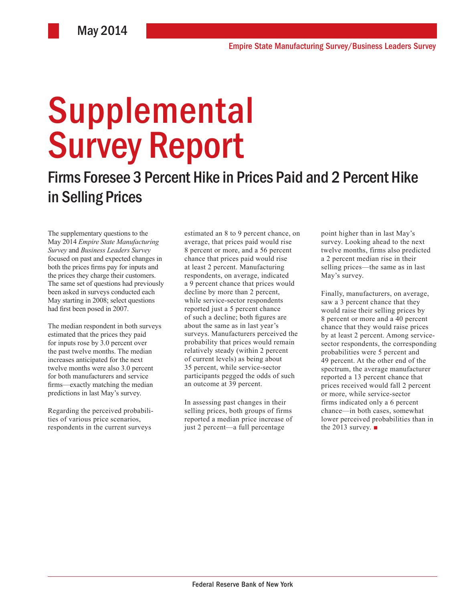# Supplemental Survey Report

# Firms Foresee 3 Percent Hike in Prices Paid and 2 Percent Hike in Selling Prices

The supplementary questions to the May 2014 *Empire State Manufacturing Survey* and *Business Leaders Survey* focused on past and expected changes in both the prices firms pay for inputs and the prices they charge their customers. The same set of questions had previously been asked in surveys conducted each May starting in 2008; select questions had first been posed in 2007.

The median respondent in both surveys estimated that the prices they paid for inputs rose by 3.0 percent over the past twelve months. The median increases anticipated for the next twelve months were also 3.0 percent for both manufacturers and service firms—exactly matching the median predictions in last May's survey.

Regarding the perceived probabilities of various price scenarios, respondents in the current surveys

estimated an 8 to 9 percent chance, on average, that prices paid would rise 8 percent or more, and a 56 percent chance that prices paid would rise at least 2 percent. Manufacturing respondents, on average, indicated a 9 percent chance that prices would decline by more than 2 percent, while service-sector respondents reported just a 5 percent chance of such a decline; both figures are about the same as in last year's surveys. Manufacturers perceived the probability that prices would remain relatively steady (within 2 percent of current levels) as being about 35 percent, while service-sector participants pegged the odds of such an outcome at 39 percent.

In assessing past changes in their selling prices, both groups of firms reported a median price increase of just 2 percent—a full percentage

point higher than in last May's survey. Looking ahead to the next twelve months, firms also predicted a 2 percent median rise in their selling prices—the same as in last May's survey.

Finally, manufacturers, on average, saw a 3 percent chance that they would raise their selling prices by 8 percent or more and a 40 percent chance that they would raise prices by at least 2 percent. Among servicesector respondents, the corresponding probabilities were 5 percent and 49 percent. At the other end of the spectrum, the average manufacturer reported a 13 percent chance that prices received would fall 2 percent or more, while service-sector firms indicated only a 6 percent chance—in both cases, somewhat lower perceived probabilities than in the 2013 survey.  $\blacksquare$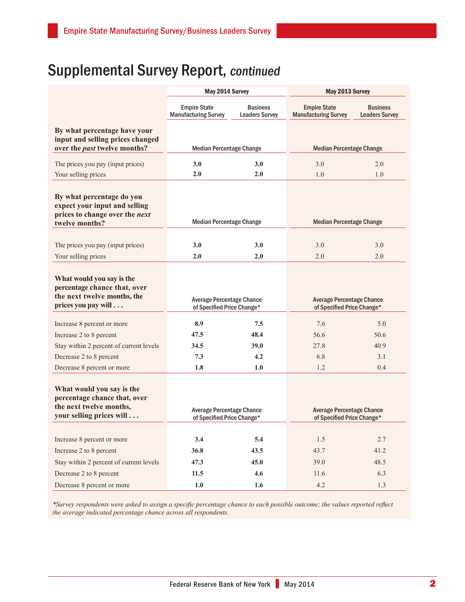## Supplemental Survey Report, continued

|                                                                                                                  | May 2014 Survey                                                |                                          | May 2013 Survey                                                |                                          |
|------------------------------------------------------------------------------------------------------------------|----------------------------------------------------------------|------------------------------------------|----------------------------------------------------------------|------------------------------------------|
|                                                                                                                  | <b>Empire State</b><br><b>Manufacturing Survey</b>             | <b>Business</b><br><b>Leaders Survey</b> | <b>Empire State</b><br><b>Manufacturing Survey</b>             | <b>Business</b><br><b>Leaders Survey</b> |
| By what percentage have your<br>input and selling prices changed<br>over the <i>past</i> twelve months?          | <b>Median Percentage Change</b>                                |                                          | <b>Median Percentage Change</b>                                |                                          |
|                                                                                                                  |                                                                |                                          |                                                                |                                          |
| The prices you pay (input prices)<br>Your selling prices                                                         | 3.0<br>2.0                                                     | 3.0<br>2.0                               | 3.0<br>1.0                                                     | 2.0<br>1.0                               |
|                                                                                                                  |                                                                |                                          |                                                                |                                          |
| By what percentage do you<br>expect your input and selling<br>prices to change over the next<br>twelve months?   | <b>Median Percentage Change</b>                                |                                          | <b>Median Percentage Change</b>                                |                                          |
|                                                                                                                  |                                                                |                                          |                                                                |                                          |
| The prices you pay (input prices)                                                                                | 3.0                                                            | 3.0                                      | 3.0                                                            | 3.0                                      |
| Your selling prices                                                                                              | 2.0                                                            | 2.0                                      | 2.0                                                            | 2.0                                      |
| What would you say is the<br>percentage chance that, over<br>the next twelve months, the<br>prices you pay will  | <b>Average Percentage Chance</b><br>of Specified Price Change* |                                          | <b>Average Percentage Chance</b><br>of Specified Price Change* |                                          |
| Increase 8 percent or more                                                                                       | 8.9                                                            | 7.5                                      | 7.6                                                            | 5.0                                      |
| Increase 2 to 8 percent                                                                                          | 47.5                                                           | 48.4                                     | 56.6                                                           | 50.6                                     |
| Stay within 2 percent of current levels                                                                          | 34.5                                                           | 39.0                                     | 27.8                                                           | 40.9                                     |
| Decrease 2 to 8 percent                                                                                          | 7.3                                                            | 4.2                                      | 6.8                                                            | 3.1                                      |
| Decrease 8 percent or more                                                                                       | 1.8                                                            | 1.0                                      | 1.2                                                            | 0.4                                      |
| What would you say is the<br>percentage chance that, over<br>the next twelve months,<br>your selling prices will | <b>Average Percentage Chance</b><br>of Specified Price Change* |                                          | <b>Average Percentage Chance</b><br>of Specified Price Change* |                                          |
|                                                                                                                  |                                                                |                                          |                                                                |                                          |
| Increase 8 percent or more                                                                                       | 3.4                                                            | 5.4                                      | 1.5                                                            | 2.7                                      |
| Increase 2 to 8 percent                                                                                          | 36.8                                                           | 43.5                                     | 43.7                                                           | 41.2                                     |
| Stay within 2 percent of current levels                                                                          | 47.3                                                           | 45.0                                     | 39.0                                                           | 48.5                                     |
| Decrease 2 to 8 percent                                                                                          | 11.5                                                           | 4.6                                      | 11.6                                                           | 6.3                                      |
| Decrease 8 percent or more                                                                                       | 1.0                                                            | 1.6                                      | 4.2                                                            | 1.3                                      |

*\*Survey respondents were asked to assign a specific percentage chance to each possible outcome; the values reported reflect the average indicated percentage chance across all respondents.*